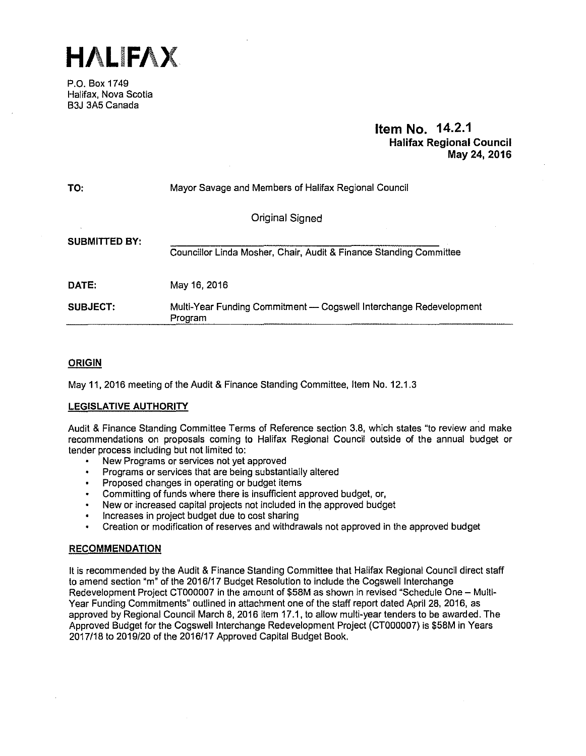**HALIFAX** 

P.O. Box 1749 Halifax, Nova Scotia B3J 3A5 Canada

## **Item No. 14.2.1 Halifax Regional Council May 24, 2016**

| TO:                  | Mayor Savage and Members of Halifax Regional Council                          |  |  |  |  |  |  |
|----------------------|-------------------------------------------------------------------------------|--|--|--|--|--|--|
|                      | Original Signed                                                               |  |  |  |  |  |  |
| <b>SUBMITTED BY:</b> | Councillor Linda Mosher, Chair, Audit & Finance Standing Committee            |  |  |  |  |  |  |
| DATE:                | May 16, 2016                                                                  |  |  |  |  |  |  |
| <b>SUBJECT:</b>      | Multi-Year Funding Commitment - Cogswell Interchange Redevelopment<br>Program |  |  |  |  |  |  |

## **ORIGIN**

May 11, 2016 meeting of the Audit & Finance Standing Committee, Item No. 12.1.3

## **LEGISLATIVE AUTHORITY**

Audit & Finance Standing Committee Terms of Reference section 3.8, which states "to review and make recommendations on proposals coming to Halifax Regional Council outside of the annual budget or tender process including but not limited to:

- New Programs or services not yet approved
- Programs or services that are being substantially altered
- Proposed changes in operating or budget items
- Committing of funds where there is insufficient approved budget, or,
- New or increased capital projects not included in the approved budget
- Increases in project budget due to cost sharing
- Creation or modification of reserves and withdrawals not approved in the approved budget

## **RECOMMENDATION**

It is recommended by the Audit & Finance Standing Committee that Halifax Regional Council direct staff to amend section "m" of the 2016/17 Budget Resolution to include the Cogswell Interchange Redevelopment Project CT000007 in the amount of \$58M as shown in revised "Schedule One - Multi-Year Funding Commitments" outlined in attachment one of the staff report dated April 28, 2016, as approved by Regional Council March 8, 2016 item 17.1, to allow multi-year tenders to be awarded. The Approved Budget for the Cogswell Interchange Redevelopment Project (CT000007) is \$58M in Years 2017/18 to 2019/20 of the 2016/17 Approved Capital Budget Book.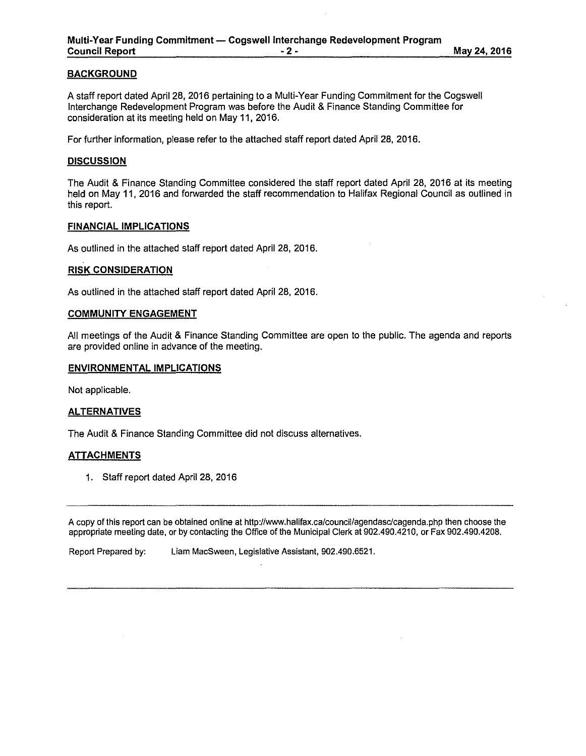## **BACKGROUND**

A staff report dated April 28, 2016 pertaining to a Multi-Year Funding Commitment for the Cogswell Interchange Redevelopment Program was before the Audit & Finance Standing Committee for consideration at its meeting held on May 11, 2016.

For further information, please refer to the attached staff report dated April 28, 2016.

#### **DISCUSSION**

The Audit & Finance Standing Committee considered the staff report dated April 28, 2016 at its meeting held on May 11, 2016 and forwarded the staff recommendation to Halifax Regional Council as outlined in this report.

### **FINANCIAL IMPLICATIONS**

As outlined in the attached staff report dated April 28, 2016.

#### **RISK CONSIDERATION**

As outlined in the attached staff report dated April 28, 2016.

#### **COMMUNITY ENGAGEMENT**

All meetings of the Audit & Finance Standing Committee are open to the public. The agenda and reports are provided online in advance of the meeting.

## **ENVIRONMENTAL IMPLICATIONS**

Not applicable.

#### **ALTERNATIVES**

The Audit & Finance Standing Committee did not discuss alternatives.

#### **ATTACHMENTS**

1. Staff report dated April 28, 2016

A copy of this report can be obtained online at http://www.halifax.ca/council/agendasc/cagenda.php then choose the appropriate meeting date, or by contacting the Office of the Municipal Clerk at 902.490.4210, or Fax 902.490.4208.

Report Prepared by: Liam MacSween, Legislative Assistant, 902.490.6521.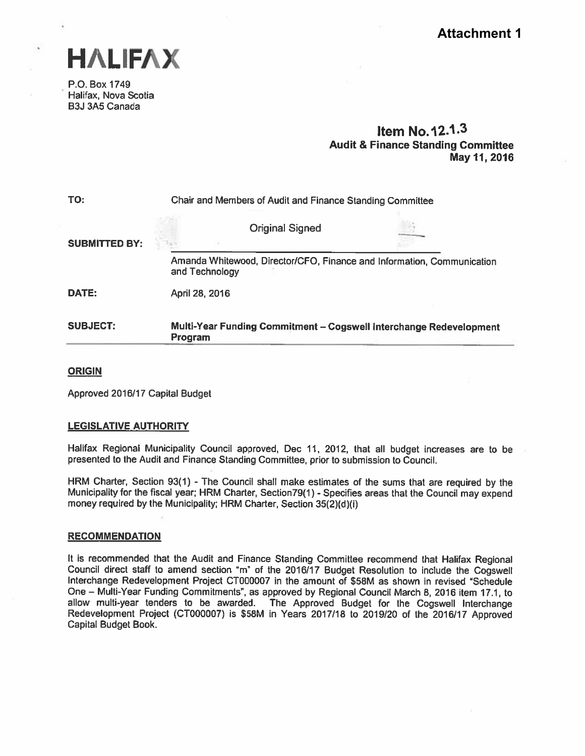

P.O. Box 1749 Halifax, Nova Scotia B3J 3A5 Canada

## Item No.12.1.3 Audit & Finance Standing Committee May 11,2016

| TO:                  |                                                                                          | Chair and Members of Audit and Finance Standing Committee |                                                                    |  |  |  |
|----------------------|------------------------------------------------------------------------------------------|-----------------------------------------------------------|--------------------------------------------------------------------|--|--|--|
| <b>SUBMITTED BY:</b> |                                                                                          | <b>Original Signed</b>                                    |                                                                    |  |  |  |
|                      | Amanda Whitewood, Director/CFO, Finance and Information, Communication<br>and Technology |                                                           |                                                                    |  |  |  |
| DATE:                | April 28, 2016                                                                           |                                                           |                                                                    |  |  |  |
| <b>SUBJECT:</b>      | Program                                                                                  |                                                           | Multi-Year Funding Commitment – Cogswell Interchange Redevelopment |  |  |  |

## **ORIGIN**

Approved 2016/17 Capital Budget

## LEGISLATIVE AUTHORITY

Halifax Regional Municipality Council approved, Dec 11, 2012, that all budget increases are to be presented to the Audit and Finance Standing Committee, prior to submission to Council.

HRM Charter, Section 93(1) - The Council shall make estimates of the sums that are required by the Municipality for the fiscal year; HRM Charter, Section79(1) - Specifies areas that the Council may expen<sup>d</sup> money required by the Municipality; HRM Charter, Section 35(2)(d)(i)

## **RECOMMENDATION**

It is recommended that the Audit and Finance Standing Committee recommend that Halifax Regional Council direct staff to amend section "m" of the 2016/17 Budget Resolution to include the Cogswell Interchange Redevelopment Project CT000007 in the amount of \$58M as shown in revised "Schedule One - Multi-Year Funding Commitments", as approved by Regional Council March 8, 2016 item 17.1, to allow multi-year tenders to be awarded. The Approved Budget for the Cogswell Interchange Redevelopment Project (CT000007) is S58M in Years 2017/18 to 2019/20 of the 2016/17 Approved Capital Budget Book.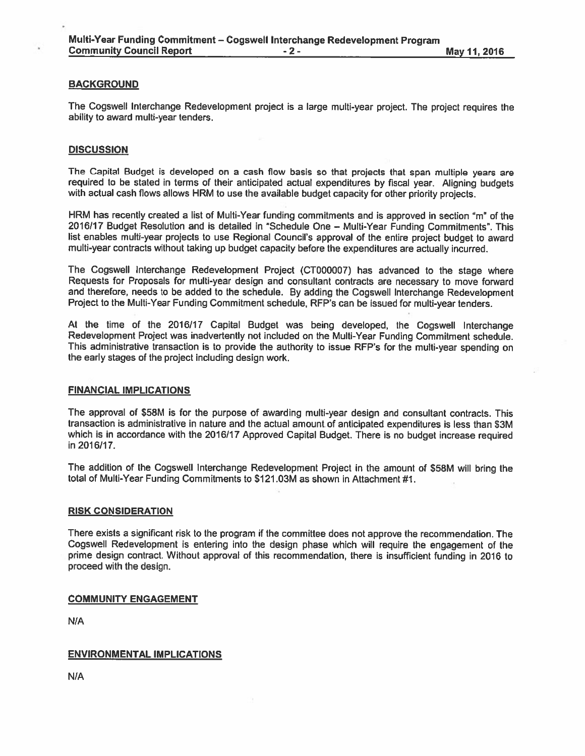### **BACKGROUND**

The Cogswell Interchange Redevelopment project is a large multi-year project. The project requires the ability to award multi-year tenders.

#### **DISCUSSION**

The Capital Budget is developed on <sup>a</sup> cash flow basis so that projects that span multiple years are required to be stated in terms of their anticipated actual expenditures by fiscal year. Aligning budgets with actual cash flows allows HRM to use the available budget capacity for other priority projects.

HRM has recently created a list of Multi-Year funding commitments and is approved in section "m" of the 2016/17 Budget Resolution and is detailed in "Schedule One – Multi-Year Funding Commitments". This list enables multi-year projects to use Regional Council's approval of the entire project budget to award multi-year contracts without taking up budget capacity before the expenditures are actually incurred.

The Cogswell Interchange Redevelopment Project (CT000007) has advanced to the stage where Requests for Proposals for multi-year design and consultant contracts are necessary to move forward and therefore, needs to be added to the schedule. By adding the Cogswell Interchange Redevelopment Project to the Multi-Year Funding Commitment schedule, RFP's can be issued for multi-year tenders.

At the time of the 2016/17 Capital Budget was being developed, the Cogswell Interchange Redevelopment Project was inadvertently not included on the Multi-Year Funding Commitment schedule. This administrative transaction is to provide the authority to issue RFP's for the multi-year spending on the early stages of the project including design work.

#### FINANCIAL IMPLICATIONS

The approva<sup>l</sup> of \$58M is for the purpose of awarding multi-year design and consultant contracts. This transaction is administrative in nature and the actual amount. of anticipated expenditures is less than \$3M which is in accordance with the 2016/17 Approved Capital Budget. There is no budget increase required in 2016/17.

The addition of the Cogswell Interchange Redevelopment Project in the amount of \$58M will bring the total of Multi-Year Funding Commitments to \$121 .03M as shown in Attachment #1.

#### RISK CONSIDERATION

There exists <sup>a</sup> significant risk to the program if the committee does not approve the recommendation. The Cogswell Redevelopment is entering into the design <sup>p</sup>hase which will require the engagemen<sup>t</sup> of the prime design contract. Without approva<sup>l</sup> of this recommendation, there is insufficient funding in <sup>2016</sup> to proceed with the design.

#### COMMUNITY ENGAGEMENT

N/A

#### ENVIRONMENTAL IMPLICATIONS

N/A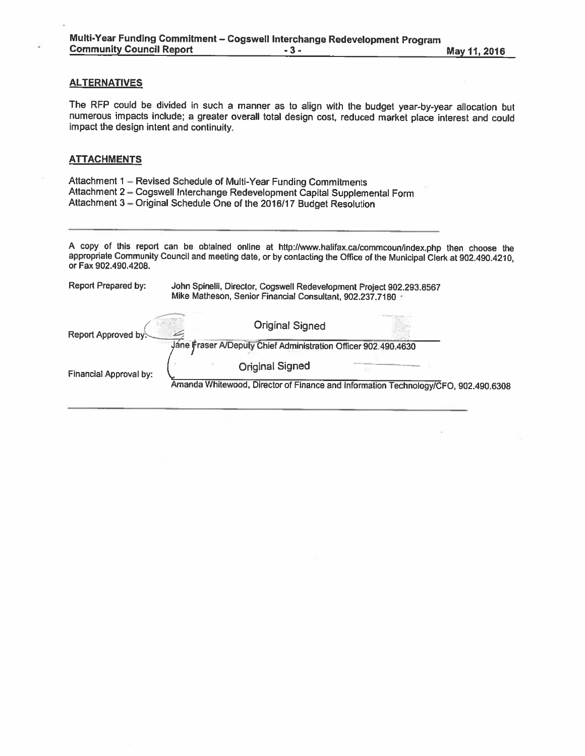## **ALTERNATIVES**

The RFP could be divided in such <sup>a</sup> manner as to align with the budget year-by-year allocation but numerous impacts include; <sup>a</sup> greater overall total design cost, reduced market <sup>p</sup>lace interest and could impact the design intent and continuity.

### **ATTACHMENTS**

| Attachment 1 - Revised Schedule of Multi-Year Funding Commitments           |
|-----------------------------------------------------------------------------|
| Attachment 2 - Cogswell Interchange Redevelopment Capital Supplemental Form |
| Attachment 3 - Original Schedule One of the 2016/17 Budget Resolution       |

<sup>A</sup> copy of this report can be obtained online at http://www.halifax.calcommcoun/index.php then choose the appropriate Community Council and meeting date, or by contacting the Office of the Municipal Clerk at 902.490.4210, or Fax 902.490.4208.

| Report Prepared by:           | John Spinelli, Director, Cogswell Redevelopment Project 902.293.8567<br>Mike Matheson, Senior Financial Consultant, 902.237.7180 |  |  |  |  |  |
|-------------------------------|----------------------------------------------------------------------------------------------------------------------------------|--|--|--|--|--|
| Report Approved by:           | <b>Original Signed</b>                                                                                                           |  |  |  |  |  |
|                               | Jane Fraser A/Depuly Chief Administration Officer 902.490.4630                                                                   |  |  |  |  |  |
| <b>Financial Approval by:</b> | <b>Original Signed</b>                                                                                                           |  |  |  |  |  |
|                               | Amanda Whitewood, Director of Finance and Information Technology/CFO, 902.490.6308                                               |  |  |  |  |  |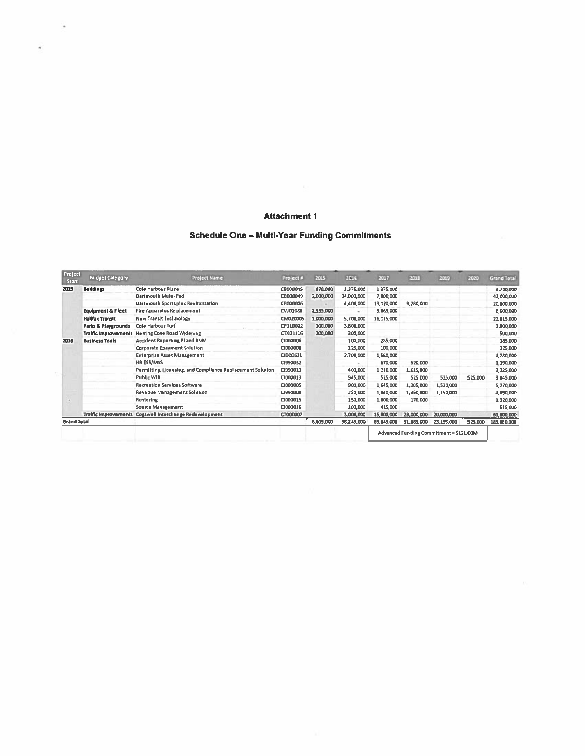## **Attachment 1**

## Schedule One - Multi-Year Funding Commitments

| Project<br>Start   | <b>Budget Category</b>       | Project Name                                               | Project #       | 2015      | 2016       | 2017       | 2019       | 2019                                    | 2020    | Grand Total |
|--------------------|------------------------------|------------------------------------------------------------|-----------------|-----------|------------|------------|------------|-----------------------------------------|---------|-------------|
| 2015               | <b>Buildings</b>             | <b>Cole Harbour Place</b>                                  | CB000045        | 970,000   | 1,375,000  | 1,375,000  |            |                                         |         | 3,720,000   |
|                    |                              | Dartmouth Multi-Pad                                        | C8000049        | 2,000,000 | 34,000,000 | 7,000,000  |            |                                         |         | 43,000,000  |
|                    |                              | Dartmouth Sportsplex Revitalization                        | CB000006        |           | 4,400,000  | 13,120,000 | 3,280,000  |                                         |         | 20,800,000  |
|                    | <b>Equipment &amp; Fieet</b> | Fire Apparatus Replacement                                 | CVJ01088        | 2,335,000 |            | 3,665,000  |            |                                         |         | 6,000,000   |
|                    | <b>Halifax Transit</b>       | <b>New Transit Technology</b>                              | CM020005        | 1,000,000 | 5,700,000  | 16,115,000 |            |                                         |         | 22,815,000  |
|                    | Parks & Playgrounds          | Cole Harbour Turf                                          | CP110002        | 100,000   | 3,800,000  |            |            |                                         |         | 3,900,000   |
|                    |                              | Traffic Improvements Herring Cove Road Widening            | <b>CTX01116</b> | 200,000   | 300,000    |            |            |                                         |         | 500,000     |
| 2016               | <b>Business Tools</b>        | Accident Reporting BI and RMV                              | CI000006        |           | 100,000    | 285,000    |            |                                         |         | 385,000     |
|                    |                              | Corporate Epayment Solution                                | C1000008        |           | 125,000    | 100,000    |            |                                         |         | 225,000     |
|                    |                              | <b>Enterprise Asset Management</b>                         | CID00631        |           | 2,700,000  | 1,580,000  |            |                                         |         | 4,280,000   |
|                    |                              | HR ESS/MSS                                                 | CI990032        |           |            | 670,000    | 520,000    |                                         |         | 1,190,000   |
|                    |                              | Permitting, Licensing, and Compliance Replacement Solution | CI990013        |           | 400,000    | 1,210,000  | 1,615,000  |                                         |         | 3,225,000   |
|                    |                              | Public Wifi                                                | CI000013        |           | 945,000    | 525,000    | 525,000    | 525,000                                 | 525,000 | 3,045,000   |
|                    |                              | <b>Recreation Services Software</b>                        | CI000005        |           | 900,000    | 1,645,000  | 1,205,000  | 1,520,000                               |         | 5,270,000   |
|                    |                              | <b>Revenue Management Solution</b>                         | CI990009        |           | 250,000    | 1,940,000  | 1,350,000  | 1,150,000                               |         | 4,690,000   |
|                    |                              | Rostering                                                  | CI000015        |           | 150,000    | 1,000,000  | 170,000    |                                         |         | 1,320,000   |
|                    |                              | <b>Source Management</b>                                   | CI000016        |           | 100,000    | 415,000    |            |                                         |         | 515,000     |
|                    |                              | Traffic Improvements Cogswell Interchange Redevelopment    | CT000007        |           | 3,000,000  | 15,000,000 | 23,000,000 | 20,000,000                              |         | 61,000,000  |
| <b>Grand Total</b> |                              |                                                            |                 | 6,605,000 | 58,245,000 | 65,645,000 | 31,665,000 | 23,195,000                              | 525,000 | 185,880,000 |
|                    |                              |                                                            |                 |           |            |            |            | Advanced Funding Commitment = \$121.03M |         |             |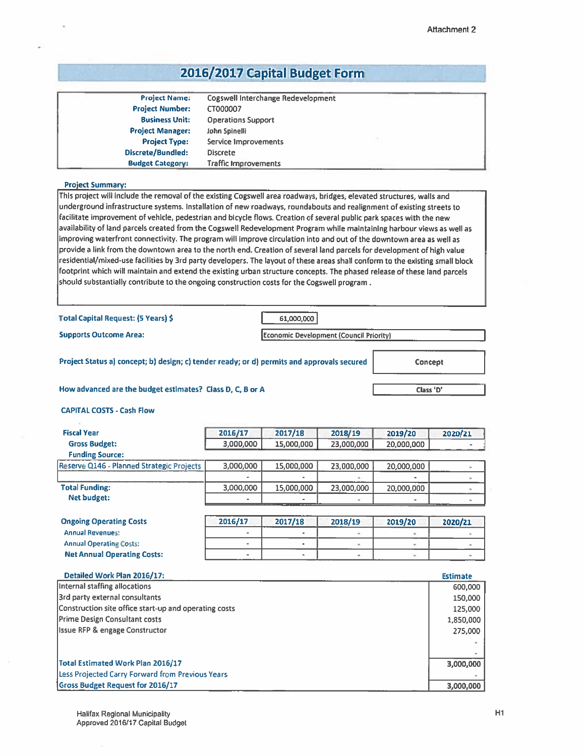# 2016/2017 Capital Budget Form

| <b>Project Name:</b>    | Cogswell Interchange Redevelopment |  |
|-------------------------|------------------------------------|--|
| <b>Project Number:</b>  | CT000007                           |  |
| <b>Business Unit:</b>   | <b>Operations Support</b>          |  |
| <b>Project Manager:</b> | John Spinelli                      |  |
| <b>Project Type:</b>    | Service Improvements               |  |
| Discrete/Bundled:       | <b>Discrete</b>                    |  |
| <b>Budget Category:</b> | <b>Traffic Improvements</b>        |  |

#### Project Summary:

This project will include the removal of the existing Cogswell area roadways, bridges, elevated structures, walls and underground infrastructure systems. Installation of new roadways, roundabouts and realignment of existing streets to facilitate improvement of vehicle, pedestrian and bicycle flows, Creation of several public par<sup>k</sup> spaces with the new availability of land parcels created from the Cogswell Redevelopment Program while maintaining harbour views as well as improving waterfront connectivity. The program will improve circulation into and out of the downtown area as well as provide <sup>a</sup> link from the downtown area to the north end. Creation of several land parcels for development of high value residential/mixed-use facilities by 3rd party developers. The layout of these areas shall conform to the existing small block footprint which will maintain and extend the existing urban structure concepts. The <sup>p</sup>hased release of these land parcels should substantially contribute to the ongoing construction costs for the Cogswell program

Total Capital Request: (5 Years) \$ 61,000,000

Supports Outcome Area:

Economic Development (Council Priority) I

Project Status a) concept; b) design; c) tender ready; or d) permits and approvals secured

Concept

Class '0,

How advanced are the budget estimates? Class D, C, B or A

CAPITAl. COSTS - Cash Flow

| <b>Fiscal Year</b>                        | 2016/17   | 2017/18                  | 2018/19    | 2019/20    | 2020/21 |
|-------------------------------------------|-----------|--------------------------|------------|------------|---------|
| <b>Gross Budget:</b>                      | 3,000,000 | 15,000,000               | 23,000,000 | 20,000,000 |         |
| <b>Funding Source:</b>                    |           |                          |            |            |         |
| Reserve Q146 - Planned Strategic Projects | 3,000,000 | 15,000,000               | 23,000,000 | 20,000,000 |         |
|                                           |           |                          |            | -          |         |
| <b>Total Funding:</b>                     | 3,000,000 | 15,000,000               | 23,000,000 | 20,000,000 |         |
| <b>Net budget:</b>                        |           | $\overline{\phantom{a}}$ |            | ۰          |         |

| <b>Ongoing Operating Costs</b>     | 2016/17 | 2017/18 | 2018/19 | 2019/20 | 2020/21 |
|------------------------------------|---------|---------|---------|---------|---------|
| <b>Annual Revenues:</b>            |         |         |         |         |         |
| <b>Annual Operating Costs:</b>     |         |         |         |         |         |
| <b>Net Annual Operating Costs:</b> |         |         |         |         |         |

| Detailed Work Plan 2016/17:                           | <b>Estimate</b> |
|-------------------------------------------------------|-----------------|
| Internal staffing allocations                         | 600,000         |
| 3rd party external consultants                        | 150,000         |
| Construction site office start-up and operating costs | 125,000         |
| <b>Prime Design Consultant costs</b>                  | 1,850,000       |
| <b>Issue RFP &amp; engage Constructor</b>             | 275,000         |
|                                                       |                 |
|                                                       |                 |
| <b>Total Estimated Work Plan 2016/17</b>              | 3,000,000       |
| Less Projected Carry Forward from Previous Years      |                 |
| Gross Budget Request for 2016/17                      | 3,000,000       |